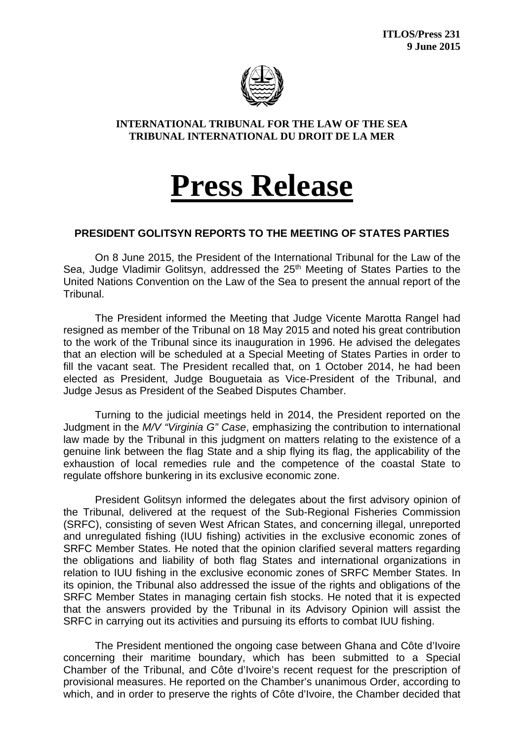

## **INTERNATIONAL TRIBUNAL FOR THE LAW OF THE SEA TRIBUNAL INTERNATIONAL DU DROIT DE LA MER**

## **Press Release**

## **PRESIDENT GOLITSYN REPORTS TO THE MEETING OF STATES PARTIES**

On 8 June 2015, the President of the International Tribunal for the Law of the Sea, Judge Vladimir Golitsyn, addressed the 25<sup>th</sup> Meeting of States Parties to the United Nations Convention on the Law of the Sea to present the annual report of the Tribunal.

The President informed the Meeting that Judge Vicente Marotta Rangel had resigned as member of the Tribunal on 18 May 2015 and noted his great contribution to the work of the Tribunal since its inauguration in 1996. He advised the delegates that an election will be scheduled at a Special Meeting of States Parties in order to fill the vacant seat. The President recalled that, on 1 October 2014, he had been elected as President, Judge Bouguetaia as Vice-President of the Tribunal, and Judge Jesus as President of the Seabed Disputes Chamber.

Turning to the judicial meetings held in 2014, the President reported on the Judgment in the *M/V "Virginia G" Case*, emphasizing the contribution to international law made by the Tribunal in this judgment on matters relating to the existence of a genuine link between the flag State and a ship flying its flag, the applicability of the exhaustion of local remedies rule and the competence of the coastal State to regulate offshore bunkering in its exclusive economic zone.

President Golitsyn informed the delegates about the first advisory opinion of the Tribunal, delivered at the request of the Sub-Regional Fisheries Commission (SRFC), consisting of seven West African States, and concerning illegal, unreported and unregulated fishing (IUU fishing) activities in the exclusive economic zones of SRFC Member States. He noted that the opinion clarified several matters regarding the obligations and liability of both flag States and international organizations in relation to IUU fishing in the exclusive economic zones of SRFC Member States. In its opinion, the Tribunal also addressed the issue of the rights and obligations of the SRFC Member States in managing certain fish stocks. He noted that it is expected that the answers provided by the Tribunal in its Advisory Opinion will assist the SRFC in carrying out its activities and pursuing its efforts to combat IUU fishing.

The President mentioned the ongoing case between Ghana and Côte d'Ivoire concerning their maritime boundary, which has been submitted to a Special Chamber of the Tribunal, and Côte d'Ivoire's recent request for the prescription of provisional measures. He reported on the Chamber's unanimous Order, according to which, and in order to preserve the rights of Côte d'Ivoire, the Chamber decided that